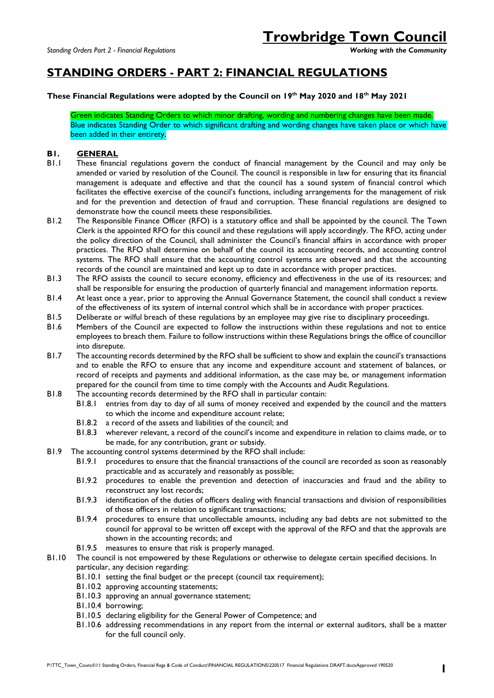# **STANDING ORDERS - PART 2: FINANCIAL REGULATIONS**

## **These Financial Regulations were adopted by the Council on 19th May 2020 and 18th May 2021**

Green indicates Standing Orders to which minor drafting, wording and numbering changes have been made. Blue indicates Standing Order to which significant drafting and wording changes have taken place or which have been added in their entirety.

## **B1. GENERAL**

- B1.1 These financial regulations govern the conduct of financial management by the Council and may only be amended or varied by resolution of the Council. The council is responsible in law for ensuring that its financial management is adequate and effective and that the council has a sound system of financial control which facilitates the effective exercise of the council's functions, including arrangements for the management of risk and for the prevention and detection of fraud and corruption. These financial regulations are designed to demonstrate how the council meets these responsibilities.
- B1.2 The Responsible Finance Officer (RFO) is a statutory office and shall be appointed by the council. The Town Clerk is the appointed RFO for this council and these regulations will apply accordingly. The RFO, acting under the policy direction of the Council, shall administer the Council's financial affairs in accordance with proper practices. The RFO shall determine on behalf of the council its accounting records, and accounting control systems. The RFO shall ensure that the accounting control systems are observed and that the accounting records of the council are maintained and kept up to date in accordance with proper practices.
- B1.3 The RFO assists the council to secure economy, efficiency and effectiveness in the use of its resources; and shall be responsible for ensuring the production of quarterly financial and management information reports.
- B1.4 At least once a year, prior to approving the Annual Governance Statement, the council shall conduct a review of the effectiveness of its system of internal control which shall be in accordance with proper practices.
- B1.5 Deliberate or wilful breach of these regulations by an employee may give rise to disciplinary proceedings.
- B1.6 Members of the Council are expected to follow the instructions within these regulations and not to entice employees to breach them. Failure to follow instructions within these Regulations brings the office of councillor into disrepute.
- B1.7 The accounting records determined by the RFO shall be sufficient to show and explain the council's transactions and to enable the RFO to ensure that any income and expenditure account and statement of balances, or record of receipts and payments and additional information, as the case may be, or management information prepared for the council from time to time comply with the Accounts and Audit Regulations.
- B1.8 The accounting records determined by the RFO shall in particular contain:
	- B1.8.1 entries from day to day of all sums of money received and expended by the council and the matters to which the income and expenditure account relate;
	- B1.8.2 a record of the assets and liabilities of the council; and
	- B1.8.3 wherever relevant, a record of the council's income and expenditure in relation to claims made, or to be made, for any contribution, grant or subsidy.
- B1.9 The accounting control systems determined by the RFO shall include:
	- B1.9.1 procedures to ensure that the financial transactions of the council are recorded as soon as reasonably practicable and as accurately and reasonably as possible;
	- B1.9.2 procedures to enable the prevention and detection of inaccuracies and fraud and the ability to reconstruct any lost records;
	- B1.9.3 identification of the duties of officers dealing with financial transactions and division of responsibilities of those officers in relation to significant transactions;
	- B1.9.4 procedures to ensure that uncollectable amounts, including any bad debts are not submitted to the council for approval to be written off except with the approval of the RFO and that the approvals are shown in the accounting records; and
	- B1.9.5 measures to ensure that risk is properly managed.
- B1.10 The council is not empowered by these Regulations or otherwise to delegate certain specified decisions. In particular, any decision regarding:
	- B1.10.1 setting the final budget or the precept (council tax requirement);
	- B1.10.2 approving accounting statements;
	- B1.10.3 approving an annual governance statement;
	- B1.10.4 borrowing;
	- B1.10.5 declaring eligibility for the General Power of Competence; and
	- B1.10.6 addressing recommendations in any report from the internal or external auditors, shall be a matter for the full council only.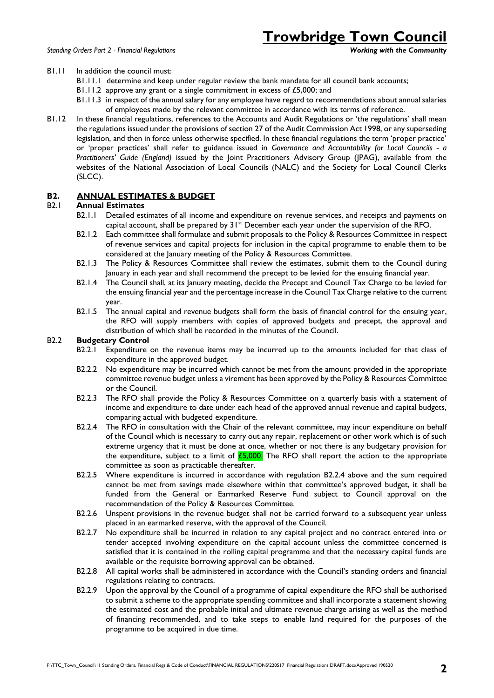# **Trowbridge Town Council**

#### B1.11 In addition the council must:

- B1.11.1 determine and keep under regular review the bank mandate for all council bank accounts;
- B1.11.2 approve any grant or a single commitment in excess of £5,000; and
- B1.11.3 in respect of the annual salary for any employee have regard to recommendations about annual salaries of employees made by the relevant committee in accordance with its terms of reference.
- B1.12 In these financial regulations, references to the Accounts and Audit Regulations or 'the regulations' shall mean the regulations issued under the provisions of section 27 of the Audit Commission Act 1998, or any superseding legislation, and then in force unless otherwise specified. In these financial regulations the term 'proper practice' or 'proper practices' shall refer to guidance issued in *Governance and Accountability for Local Councils - a Practitioners' Guide (England)* issued by the Joint Practitioners Advisory Group (JPAG), available from the websites of the National Association of Local Councils (NALC) and the Society for Local Council Clerks (SLCC).

#### **B2. ANNUAL ESTIMATES & BUDGET**

#### B2.1 **Annual Estimates**

- B2.1.1 Detailed estimates of all income and expenditure on revenue services, and receipts and payments on capital account, shall be prepared by  $31<sup>st</sup>$  December each year under the supervision of the RFO.
- B2.1.2 Each committee shall formulate and submit proposals to the Policy & Resources Committee in respect of revenue services and capital projects for inclusion in the capital programme to enable them to be considered at the January meeting of the Policy & Resources Committee.
- B2.1.3 The Policy & Resources Committee shall review the estimates, submit them to the Council during January in each year and shall recommend the precept to be levied for the ensuing financial year.
- B2.1.4 The Council shall, at its January meeting, decide the Precept and Council Tax Charge to be levied for the ensuing financial year and the percentage increase in the Council Tax Charge relative to the current year.
- B2.1.5 The annual capital and revenue budgets shall form the basis of financial control for the ensuing year, the RFO will supply members with copies of approved budgets and precept, the approval and distribution of which shall be recorded in the minutes of the Council.

#### B2.2 **Budgetary Control**

- B2.2.1 Expenditure on the revenue items may be incurred up to the amounts included for that class of expenditure in the approved budget.
- B2.2.2 No expenditure may be incurred which cannot be met from the amount provided in the appropriate committee revenue budget unless a virement has been approved by the Policy & Resources Committee or the Council.
- B2.2.3 The RFO shall provide the Policy & Resources Committee on a quarterly basis with a statement of income and expenditure to date under each head of the approved annual revenue and capital budgets, comparing actual with budgeted expenditure.
- B2.2.4 The RFO in consultation with the Chair of the relevant committee, may incur expenditure on behalf of the Council which is necessary to carry out any repair, replacement or other work which is of such extreme urgency that it must be done at once, whether or not there is any budgetary provision for the expenditure, subject to a limit of  $\frac{25,000}{\pi}$ . The RFO shall report the action to the appropriate committee as soon as practicable thereafter.
- B2.2.5 Where expenditure is incurred in accordance with regulation B2.2.4 above and the sum required cannot be met from savings made elsewhere within that committee's approved budget, it shall be funded from the General or Earmarked Reserve Fund subject to Council approval on the recommendation of the Policy & Resources Committee.
- B2.2.6 Unspent provisions in the revenue budget shall not be carried forward to a subsequent year unless placed in an earmarked reserve, with the approval of the Council.
- B2.2.7 No expenditure shall be incurred in relation to any capital project and no contract entered into or tender accepted involving expenditure on the capital account unless the committee concerned is satisfied that it is contained in the rolling capital programme and that the necessary capital funds are available or the requisite borrowing approval can be obtained.
- B2.2.8 All capital works shall be administered in accordance with the Council's standing orders and financial regulations relating to contracts.
- B2.2.9 Upon the approval by the Council of a programme of capital expenditure the RFO shall be authorised to submit a scheme to the appropriate spending committee and shall incorporate a statement showing the estimated cost and the probable initial and ultimate revenue charge arising as well as the method of financing recommended, and to take steps to enable land required for the purposes of the programme to be acquired in due time.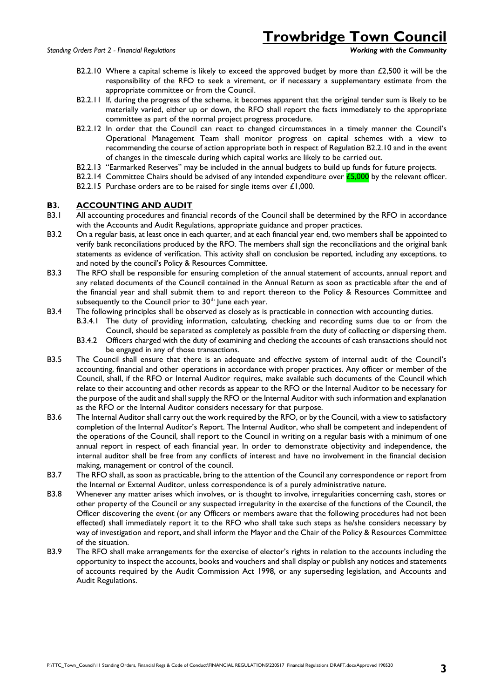- B2.2.10 Where a capital scheme is likely to exceed the approved budget by more than £2,500 it will be the responsibility of the RFO to seek a virement, or if necessary a supplementary estimate from the appropriate committee or from the Council.
- B2.2.11 If, during the progress of the scheme, it becomes apparent that the original tender sum is likely to be materially varied, either up or down, the RFO shall report the facts immediately to the appropriate committee as part of the normal project progress procedure.
- B2.2.12 In order that the Council can react to changed circumstances in a timely manner the Council's Operational Management Team shall monitor progress on capital schemes with a view to recommending the course of action appropriate both in respect of Regulation B2.2.10 and in the event of changes in the timescale during which capital works are likely to be carried out.
- B2.2.13 "Earmarked Reserves" may be included in the annual budgets to build up funds for future projects.
- B2.2.14 Committee Chairs should be advised of any intended expenditure over  $E$ 5,000 by the relevant officer.
- B2.2.15 Purchase orders are to be raised for single items over £1,000.

#### **B3. ACCOUNTING AND AUDIT**

- B3.1 All accounting procedures and financial records of the Council shall be determined by the RFO in accordance with the Accounts and Audit Regulations, appropriate guidance and proper practices.
- B3.2 On a regular basis, at least once in each quarter, and at each financial year end, two members shall be appointed to verify bank reconciliations produced by the RFO. The members shall sign the reconciliations and the original bank statements as evidence of verification. This activity shall on conclusion be reported, including any exceptions, to and noted by the council's Policy & Resources Committee.
- B3.3 The RFO shall be responsible for ensuring completion of the annual statement of accounts, annual report and any related documents of the Council contained in the Annual Return as soon as practicable after the end of the financial year and shall submit them to and report thereon to the Policy & Resources Committee and subsequently to the Council prior to 30<sup>th</sup> June each year.
- B3.4 The following principles shall be observed as closely as is practicable in connection with accounting duties.
	- B.3.4.1 The duty of providing information, calculating, checking and recording sums due to or from the Council, should be separated as completely as possible from the duty of collecting or dispersing them.
	- B3.4.2 Officers charged with the duty of examining and checking the accounts of cash transactions should not be engaged in any of those transactions.
- B3.5 The Council shall ensure that there is an adequate and effective system of internal audit of the Council's accounting, financial and other operations in accordance with proper practices. Any officer or member of the Council, shall, if the RFO or Internal Auditor requires, make available such documents of the Council which relate to their accounting and other records as appear to the RFO or the Internal Auditor to be necessary for the purpose of the audit and shall supply the RFO or the Internal Auditor with such information and explanation as the RFO or the Internal Auditor considers necessary for that purpose.
- B3.6 The Internal Auditor shall carry out the work required by the RFO, or by the Council, with a view to satisfactory completion of the Internal Auditor's Report. The Internal Auditor, who shall be competent and independent of the operations of the Council, shall report to the Council in writing on a regular basis with a minimum of one annual report in respect of each financial year. In order to demonstrate objectivity and independence, the internal auditor shall be free from any conflicts of interest and have no involvement in the financial decision making, management or control of the council.
- B3.7 The RFO shall, as soon as practicable, bring to the attention of the Council any correspondence or report from the Internal or External Auditor, unless correspondence is of a purely administrative nature.
- B3.8 Whenever any matter arises which involves, or is thought to involve, irregularities concerning cash, stores or other property of the Council or any suspected irregularity in the exercise of the functions of the Council, the Officer discovering the event (or any Officers or members aware that the following procedures had not been effected) shall immediately report it to the RFO who shall take such steps as he/she considers necessary by way of investigation and report, and shall inform the Mayor and the Chair of the Policy & Resources Committee of the situation.
- B3.9 The RFO shall make arrangements for the exercise of elector's rights in relation to the accounts including the opportunity to inspect the accounts, books and vouchers and shall display or publish any notices and statements of accounts required by the Audit Commission Act 1998, or any superseding legislation, and Accounts and Audit Regulations.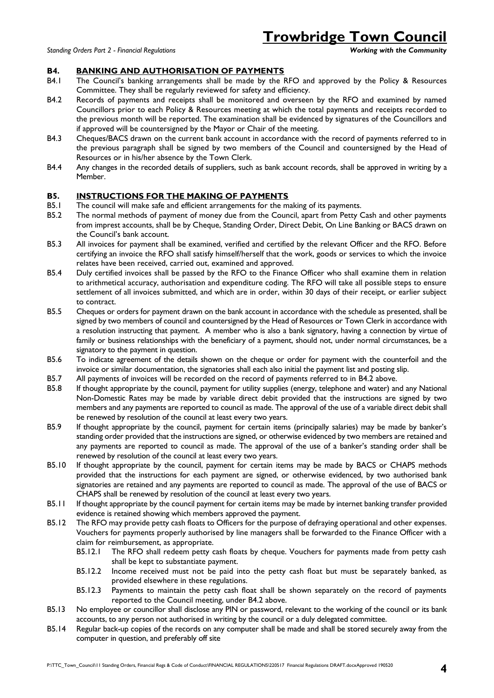**Trowbridge Town Council**<br>Working with the Community

#### **B4. BANKING AND AUTHORISATION OF PAYMENTS**

- B4.1 The Council's banking arrangements shall be made by the RFO and approved by the Policy & Resources Committee. They shall be regularly reviewed for safety and efficiency.
- B4.2 Records of payments and receipts shall be monitored and overseen by the RFO and examined by named Councillors prior to each Policy & Resources meeting at which the total payments and receipts recorded to the previous month will be reported. The examination shall be evidenced by signatures of the Councillors and if approved will be countersigned by the Mayor or Chair of the meeting.
- B4.3 Cheques/BACS drawn on the current bank account in accordance with the record of payments referred to in the previous paragraph shall be signed by two members of the Council and countersigned by the Head of Resources or in his/her absence by the Town Clerk.
- B4.4 Any changes in the recorded details of suppliers, such as bank account records, shall be approved in writing by a Member.

## **B5. INSTRUCTIONS FOR THE MAKING OF PAYMENTS**

- B5.1 The council will make safe and efficient arrangements for the making of its payments.
- B5.2 The normal methods of payment of money due from the Council, apart from Petty Cash and other payments from imprest accounts, shall be by Cheque, Standing Order, Direct Debit, On Line Banking or BACS drawn on the Council's bank account.
- B5.3 All invoices for payment shall be examined, verified and certified by the relevant Officer and the RFO. Before certifying an invoice the RFO shall satisfy himself/herself that the work, goods or services to which the invoice relates have been received, carried out, examined and approved.
- B5.4 Duly certified invoices shall be passed by the RFO to the Finance Officer who shall examine them in relation to arithmetical accuracy, authorisation and expenditure coding. The RFO will take all possible steps to ensure settlement of all invoices submitted, and which are in order, within 30 days of their receipt, or earlier subject to contract.
- B5.5 Cheques or orders for payment drawn on the bank account in accordance with the schedule as presented, shall be signed by two members of council and countersigned by the Head of Resources or Town Clerk in accordance with a resolution instructing that payment. A member who is also a bank signatory, having a connection by virtue of family or business relationships with the beneficiary of a payment, should not, under normal circumstances, be a signatory to the payment in question.
- B5.6 To indicate agreement of the details shown on the cheque or order for payment with the counterfoil and the invoice or similar documentation, the signatories shall each also initial the payment list and posting slip.
- B5.7 All payments of invoices will be recorded on the record of payments referred to in B4.2 above.
- B5.8 If thought appropriate by the council, payment for utility supplies (energy, telephone and water) and any National Non-Domestic Rates may be made by variable direct debit provided that the instructions are signed by two members and any payments are reported to council as made. The approval of the use of a variable direct debit shall be renewed by resolution of the council at least every two years.
- B5.9 If thought appropriate by the council, payment for certain items (principally salaries) may be made by banker's standing order provided that the instructions are signed, or otherwise evidenced by two members are retained and any payments are reported to council as made. The approval of the use of a banker's standing order shall be renewed by resolution of the council at least every two years.
- B5.10 If thought appropriate by the council, payment for certain items may be made by BACS or CHAPS methods provided that the instructions for each payment are signed, or otherwise evidenced, by two authorised bank signatories are retained and any payments are reported to council as made. The approval of the use of BACS or CHAPS shall be renewed by resolution of the council at least every two years.
- B5.11 If thought appropriate by the council payment for certain items may be made by internet banking transfer provided evidence is retained showing which members approved the payment.
- B5.12 The RFO may provide petty cash floats to Officers for the purpose of defraying operational and other expenses. Vouchers for payments properly authorised by line managers shall be forwarded to the Finance Officer with a claim for reimbursement, as appropriate.
	- B5.12.1 The RFO shall redeem petty cash floats by cheque. Vouchers for payments made from petty cash shall be kept to substantiate payment.
	- B5.12.2 Income received must not be paid into the petty cash float but must be separately banked, as provided elsewhere in these regulations.
	- B5.12.3 Payments to maintain the petty cash float shall be shown separately on the record of payments reported to the Council meeting, under B4.2 above.
- B5.13 No employee or councillor shall disclose any PIN or password, relevant to the working of the council or its bank accounts, to any person not authorised in writing by the council or a duly delegated committee.
- B5.14 Regular back-up copies of the records on any computer shall be made and shall be stored securely away from the computer in question, and preferably off site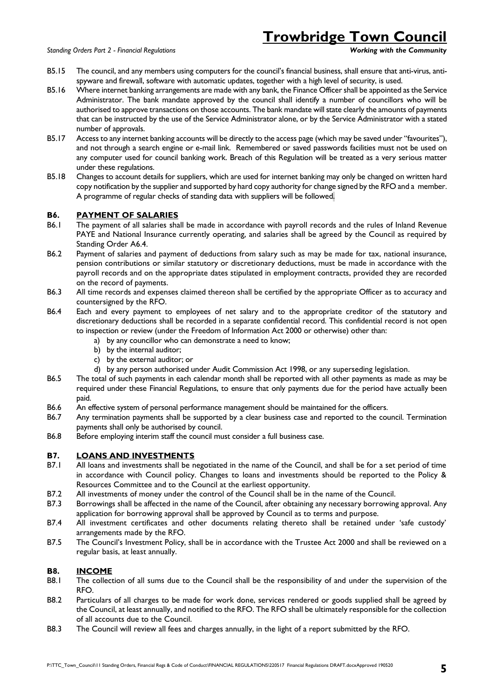*Standing Orders Part 2 - Financial Regulations Working with the Community*

# **Trowbridge Town Council**

- B5.15 The council, and any members using computers for the council's financial business, shall ensure that anti-virus, antispyware and firewall, software with automatic updates, together with a high level of security, is used.
- B5.16 Where internet banking arrangements are made with any bank, the Finance Officer shall be appointed as the Service Administrator. The bank mandate approved by the council shall identify a number of councillors who will be authorised to approve transactions on those accounts. The bank mandate will state clearly the amounts of payments that can be instructed by the use of the Service Administrator alone, or by the Service Administrator with a stated number of approvals.
- B5.17 Access to any internet banking accounts will be directly to the access page (which may be saved under "favourites"), and not through a search engine or e-mail link. Remembered or saved passwords facilities must not be used on any computer used for council banking work. Breach of this Regulation will be treated as a very serious matter under these regulations.
- B5.18 Changes to account details for suppliers, which are used for internet banking may only be changed on written hard copy notification by the supplier and supported by hard copy authority for change signed by the RFO and a member. A programme of regular checks of standing data with suppliers will be followed.

# **B6. PAYMENT OF SALARIES**

- B6.1 The payment of all salaries shall be made in accordance with payroll records and the rules of Inland Revenue PAYE and National Insurance currently operating, and salaries shall be agreed by the Council as required by Standing Order A6.4.
- B6.2 Payment of salaries and payment of deductions from salary such as may be made for tax, national insurance, pension contributions or similar statutory or discretionary deductions, must be made in accordance with the payroll records and on the appropriate dates stipulated in employment contracts, provided they are recorded on the record of payments.
- B6.3 All time records and expenses claimed thereon shall be certified by the appropriate Officer as to accuracy and countersigned by the RFO.
- B6.4 Each and every payment to employees of net salary and to the appropriate creditor of the statutory and discretionary deductions shall be recorded in a separate confidential record. This confidential record is not open to inspection or review (under the Freedom of Information Act 2000 or otherwise) other than:
	- a) by any councillor who can demonstrate a need to know;
	- b) by the internal auditor;
	- c) by the external auditor; or
	- d) by any person authorised under Audit Commission Act 1998, or any superseding legislation.
- B6.5 The total of such payments in each calendar month shall be reported with all other payments as made as may be required under these Financial Regulations, to ensure that only payments due for the period have actually been paid.
- B6.6 An effective system of personal performance management should be maintained for the officers.
- B6.7 Any termination payments shall be supported by a clear business case and reported to the council. Termination payments shall only be authorised by council.
- B6.8 Before employing interim staff the council must consider a full business case.

# **B7. LOANS AND INVESTMENTS**

- B7.1 All loans and investments shall be negotiated in the name of the Council, and shall be for a set period of time in accordance with Council policy. Changes to loans and investments should be reported to the Policy & Resources Committee and to the Council at the earliest opportunity.
- B7.2 All investments of money under the control of the Council shall be in the name of the Council.
- B7.3 Borrowings shall be affected in the name of the Council, after obtaining any necessary borrowing approval. Any application for borrowing approval shall be approved by Council as to terms and purpose.
- B7.4 All investment certificates and other documents relating thereto shall be retained under 'safe custody' arrangements made by the RFO.
- B7.5 The Council's Investment Policy, shall be in accordance with the Trustee Act 2000 and shall be reviewed on a regular basis, at least annually.

# **B8. INCOME**

- B8.1 The collection of all sums due to the Council shall be the responsibility of and under the supervision of the RFO.
- B8.2 Particulars of all charges to be made for work done, services rendered or goods supplied shall be agreed by the Council, at least annually, and notified to the RFO. The RFO shall be ultimately responsible for the collection of all accounts due to the Council.
- B8.3 The Council will review all fees and charges annually, in the light of a report submitted by the RFO.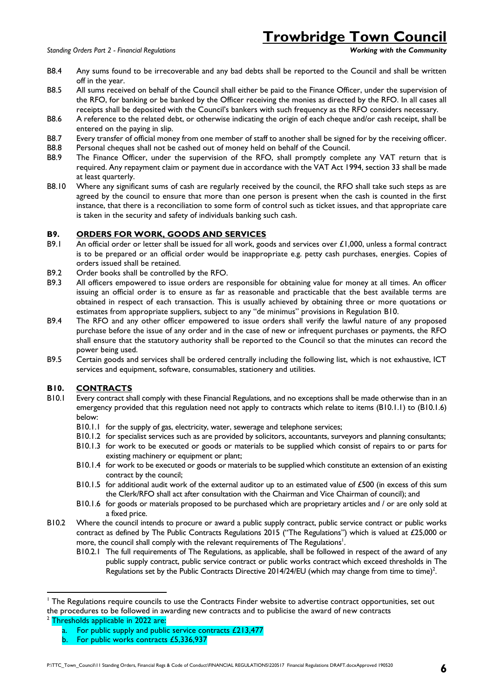# **Trowbridge Town Council**

- B8.4 Any sums found to be irrecoverable and any bad debts shall be reported to the Council and shall be written off in the year.
- B8.5 All sums received on behalf of the Council shall either be paid to the Finance Officer, under the supervision of the RFO, for banking or be banked by the Officer receiving the monies as directed by the RFO. In all cases all receipts shall be deposited with the Council's bankers with such frequency as the RFO considers necessary.
- B8.6 A reference to the related debt, or otherwise indicating the origin of each cheque and/or cash receipt, shall be entered on the paying in slip.
- B8.7 Every transfer of official money from one member of staff to another shall be signed for by the receiving officer.
- B8.8 Personal cheques shall not be cashed out of money held on behalf of the Council.
- B8.9 The Finance Officer, under the supervision of the RFO, shall promptly complete any VAT return that is required. Any repayment claim or payment due in accordance with the VAT Act 1994, section 33 shall be made at least quarterly.
- B8.10 Where any significant sums of cash are regularly received by the council, the RFO shall take such steps as are agreed by the council to ensure that more than one person is present when the cash is counted in the first instance, that there is a reconciliation to some form of control such as ticket issues, and that appropriate care is taken in the security and safety of individuals banking such cash.

## **B9. ORDERS FOR WORK, GOODS AND SERVICES**

- B9.1 An official order or letter shall be issued for all work, goods and services over £1,000, unless a formal contract is to be prepared or an official order would be inappropriate e.g. petty cash purchases, energies. Copies of orders issued shall be retained.
- B9.2 Order books shall be controlled by the RFO.
- B9.3 All officers empowered to issue orders are responsible for obtaining value for money at all times. An officer issuing an official order is to ensure as far as reasonable and practicable that the best available terms are obtained in respect of each transaction. This is usually achieved by obtaining three or more quotations or estimates from appropriate suppliers, subject to any "de minimus" provisions in Regulation B10.
- B9.4 The RFO and any other officer empowered to issue orders shall verify the lawful nature of any proposed purchase before the issue of any order and in the case of new or infrequent purchases or payments, the RFO shall ensure that the statutory authority shall be reported to the Council so that the minutes can record the power being used.
- B9.5 Certain goods and services shall be ordered centrally including the following list, which is not exhaustive, ICT services and equipment, software, consumables, stationery and utilities.

## **B10. CONTRACTS**

- B10.1 Every contract shall comply with these Financial Regulations, and no exceptions shall be made otherwise than in an emergency provided that this regulation need not apply to contracts which relate to items (B10.1.1) to (B10.1.6) below:
	- B10.1.1 for the supply of gas, electricity, water, sewerage and telephone services;
	- B10.1.2 for specialist services such as are provided by solicitors, accountants, surveyors and planning consultants;
	- B10.1.3 for work to be executed or goods or materials to be supplied which consist of repairs to or parts for existing machinery or equipment or plant;
	- B10.1.4 for work to be executed or goods or materials to be supplied which constitute an extension of an existing contract by the council;
	- B10.1.5 for additional audit work of the external auditor up to an estimated value of £500 (in excess of this sum the Clerk/RFO shall act after consultation with the Chairman and Vice Chairman of council); and
	- B10.1.6 for goods or materials proposed to be purchased which are proprietary articles and / or are only sold at a fixed price.
- B10.2 Where the council intends to procure or award a public supply contract, public service contract or public works contract as defined by The Public Contracts Regulations 2015 ("The Regulations") which is valued at £25,000 or more, the council shall comply with the relevant requirements of The Regulations<sup>1</sup>.
	- B10.2.1 The full requirements of The Regulations, as applicable, shall be followed in respect of the award of any public supply contract, public service contract or public works contract which exceed thresholds in The Regulations set by the Public Contracts Directive 2014/24/EU (which may change from time to time)<sup>2</sup>.

1

<sup>&</sup>lt;sup>1</sup> The Regulations require councils to use the Contracts Finder website to advertise contract opportunities, set out the procedures to be followed in awarding new contracts and to publicise the award of new contracts

<sup>&</sup>lt;sup>2</sup> Thresholds applicable in 2022 are:

a. For public supply and public service contracts £213,477

b. For public works contracts £5,336,937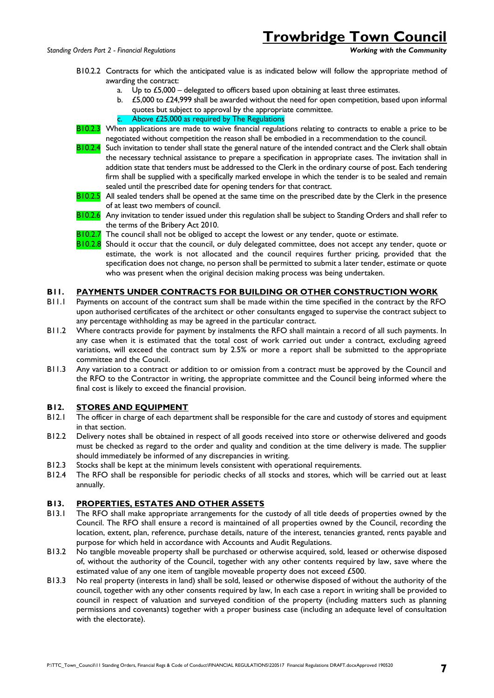# **Trowbridge Town Council**<br>Working with the Community

- B10.2.2 Contracts for which the anticipated value is as indicated below will follow the appropriate method of awarding the contract:
	- a. Up to £5,000 delegated to officers based upon obtaining at least three estimates.
	- $£5,000$  to  $£24,999$  shall be awarded without the need for open competition, based upon informal quotes but subject to approval by the appropriate committee.
	- c. Above £25,000 as required by The Regulations
- B10.2.3 When applications are made to waive financial regulations relating to contracts to enable a price to be negotiated without competition the reason shall be embodied in a recommendation to the council.
- B10.2.4 Such invitation to tender shall state the general nature of the intended contract and the Clerk shall obtain the necessary technical assistance to prepare a specification in appropriate cases. The invitation shall in addition state that tenders must be addressed to the Clerk in the ordinary course of post. Each tendering firm shall be supplied with a specifically marked envelope in which the tender is to be sealed and remain sealed until the prescribed date for opening tenders for that contract.
- B10.2.5 All sealed tenders shall be opened at the same time on the prescribed date by the Clerk in the presence of at least two members of council.
- B10.2.6 Any invitation to tender issued under this regulation shall be subject to Standing Orders and shall refer to the terms of the Bribery Act 2010.
- **B10.2.7** The council shall not be obliged to accept the lowest or any tender, quote or estimate.
- B10.2.8 Should it occur that the council, or duly delegated committee, does not accept any tender, quote or estimate, the work is not allocated and the council requires further pricing, provided that the specification does not change, no person shall be permitted to submit a later tender, estimate or quote who was present when the original decision making process was being undertaken.

#### **B11. PAYMENTS UNDER CONTRACTS FOR BUILDING OR OTHER CONSTRUCTION WORK**

- B11.1 Payments on account of the contract sum shall be made within the time specified in the contract by the RFO upon authorised certificates of the architect or other consultants engaged to supervise the contract subject to any percentage withholding as may be agreed in the particular contract.
- B11.2 Where contracts provide for payment by instalments the RFO shall maintain a record of all such payments. In any case when it is estimated that the total cost of work carried out under a contract, excluding agreed variations, will exceed the contract sum by 2.5% or more a report shall be submitted to the appropriate committee and the Council.
- B11.3 Any variation to a contract or addition to or omission from a contract must be approved by the Council and the RFO to the Contractor in writing, the appropriate committee and the Council being informed where the final cost is likely to exceed the financial provision.

#### **B12. STORES AND EQUIPMENT**

- B12.1 The officer in charge of each department shall be responsible for the care and custody of stores and equipment in that section.
- B12.2 Delivery notes shall be obtained in respect of all goods received into store or otherwise delivered and goods must be checked as regard to the order and quality and condition at the time delivery is made. The supplier should immediately be informed of any discrepancies in writing.
- B12.3 Stocks shall be kept at the minimum levels consistent with operational requirements.
- B12.4 The RFO shall be responsible for periodic checks of all stocks and stores, which will be carried out at least annually.

#### **B13. PROPERTIES, ESTATES AND OTHER ASSETS**

- B13.1 The RFO shall make appropriate arrangements for the custody of all title deeds of properties owned by the Council. The RFO shall ensure a record is maintained of all properties owned by the Council, recording the location, extent, plan, reference, purchase details, nature of the interest, tenancies granted, rents payable and purpose for which held in accordance with Accounts and Audit Regulations.
- B13.2 No tangible moveable property shall be purchased or otherwise acquired, sold, leased or otherwise disposed of, without the authority of the Council, together with any other contents required by law, save where the estimated value of any one item of tangible moveable property does not exceed £500.
- B13.3 No real property (interests in land) shall be sold, leased or otherwise disposed of without the authority of the council, together with any other consents required by law, In each case a report in writing shall be provided to council in respect of valuation and surveyed condition of the property (including matters such as planning permissions and covenants) together with a proper business case (including an adequate level of consultation with the electorate).